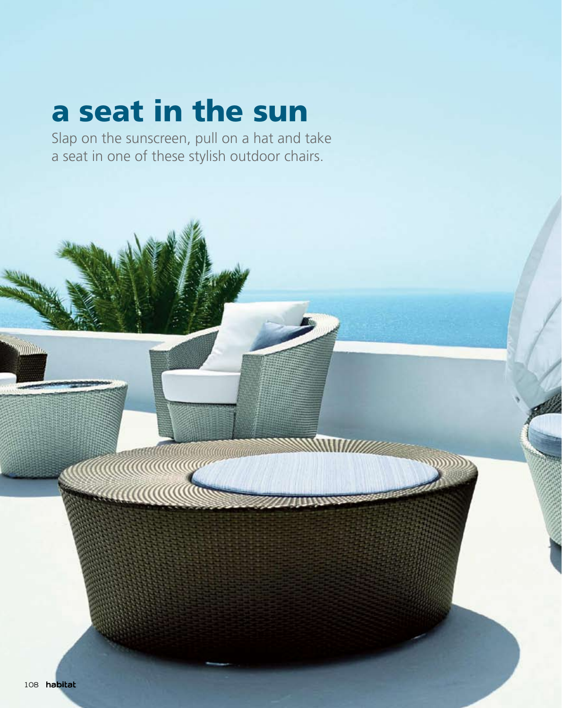# a seat in the sun

Slap on the sunscreen, pull on a hat and take a seat in one of these stylish outdoor chairs.

a a a a chuid ann an chuid ann an chuid ann an chuid ann an chuid ann an chuid ann an chuid ann an chuid ann a

**Million**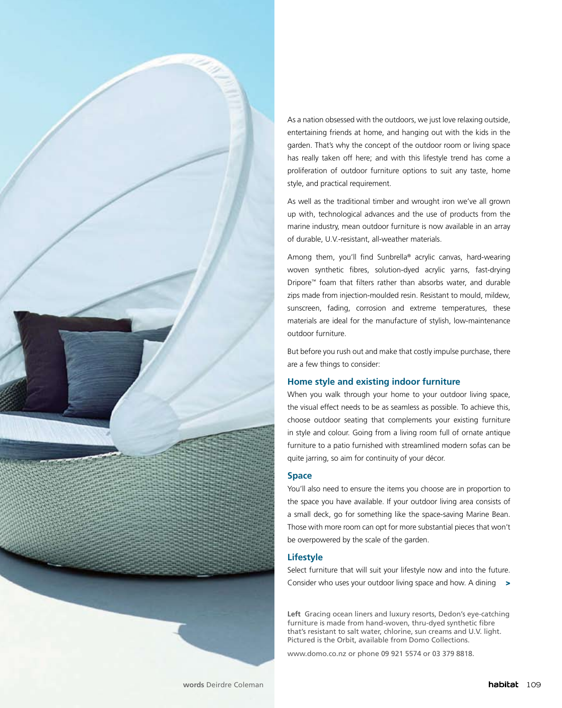

As a nation obsessed with the outdoors, we just love relaxing outside, entertaining friends at home, and hanging out with the kids in the garden. That's why the concept of the outdoor room or living space has really taken off here; and with this lifestyle trend has come a proliferation of outdoor furniture options to suit any taste, home style, and practical requirement.

As well as the traditional timber and wrought iron we've all grown up with, technological advances and the use of products from the marine industry, mean outdoor furniture is now available in an array of durable, U.V.-resistant, all-weather materials.

Among them, you'll find Sunbrella® acrylic canvas, hard-wearing woven synthetic fibres, solution-dyed acrylic yarns, fast-drying Dripore™ foam that filters rather than absorbs water, and durable zips made from injection-moulded resin. Resistant to mould, mildew, sunscreen, fading, corrosion and extreme temperatures, these materials are ideal for the manufacture of stylish, low-maintenance outdoor furniture.

But before you rush out and make that costly impulse purchase, there are a few things to consider:

# **Home style and existing indoor furniture**

When you walk through your home to your outdoor living space, the visual effect needs to be as seamless as possible. To achieve this, choose outdoor seating that complements your existing furniture in style and colour. Going from a living room full of ornate antique furniture to a patio furnished with streamlined modern sofas can be quite jarring, so aim for continuity of your décor.

#### **Space**

You'll also need to ensure the items you choose are in proportion to the space you have available. If your outdoor living area consists of a small deck, go for something like the space-saving Marine Bean. Those with more room can opt for more substantial pieces that won't be overpowered by the scale of the garden.

## **Lifestyle**

Select furniture that will suit your lifestyle now and into the future. Consider who uses your outdoor living space and how. A dining >

**Left** Gracing ocean liners and luxury resorts, Dedon's eye-catching furniture is made from hand-woven, thru-dyed synthetic fibre that's resistant to salt water, chlorine, sun creams and U.V. light. Pictured is the Orbit, available from Domo Collections.

www.domo.co.nz or phone 09 921 5574 or 03 379 8818.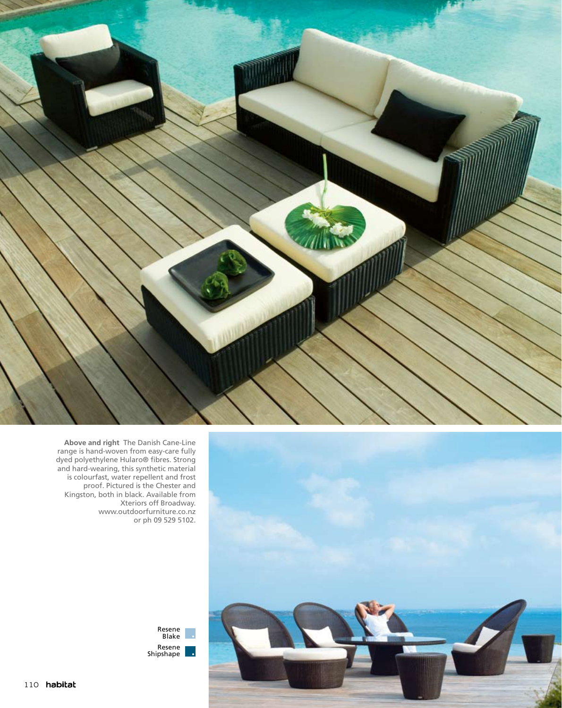



**Above and right** The Danish Cane-Line range is hand-woven from easy-care fully dyed polyethylene Hularo® fibres. Strong and hard-wearing, this synthetic material is colourfast, water repellent and frost proof. Pictured is the Chester and Kingston, both in black. Available from Xteriors off Broadway. www.outdoorfurniture.co.nz or ph 09 529 5102.

> Resene Blake Resene Shipshape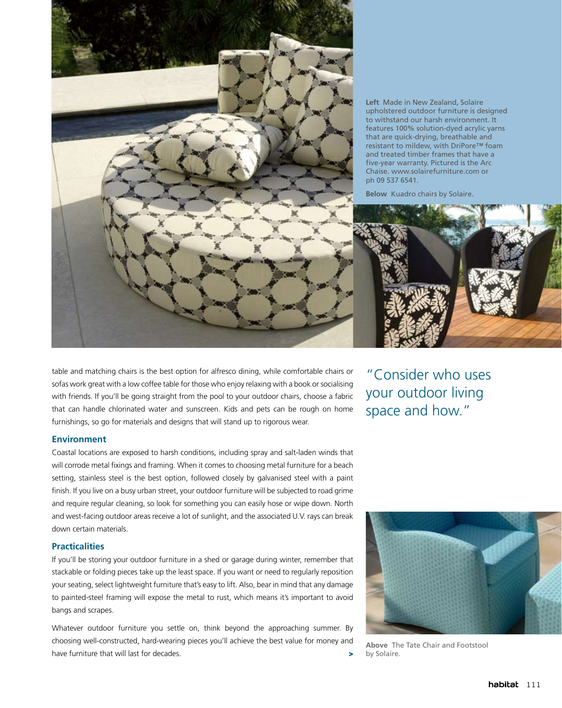

**Left** Made in New Zealand, Solaire upholstered outdoor furniture is designed to withstand our harsh environment. It features 100% solution-dyed acrylic yarns that are quick-drying, breathable and resistant to mildew, with DriPore™ foam and treated timber frames that have a five-year warranty. Pictured is the Arc Chaise. www.solairefurniture.com or ph 09 537 6541.

**Below** Kuadro chairs by Solaire.



table and matching chairs is the best option for alfresco dining, while comfortable chairs or sofas work great with a low coffee table for those who enjoy relaxing with a book or socialising with friends. If you'll be going straight from the pool to your outdoor chairs, choose a fabric that can handle chlorinated water and sunscreen. Kids and pets can be rough on home furnishings, so go for materials and designs that will stand up to rigorous wear.

#### **Environment**

Coastal locations are exposed to harsh conditions, including spray and salt-laden winds that will corrode metal fixings and framing. When it comes to choosing metal furniture for a beach setting, stainless steel is the best option, followed closely by galvanised steel with a paint finish. If you live on a busy urban street, your outdoor furniture will be subjected to road grime and require regular cleaning, so look for something you can easily hose or wipe down. North and west-facing outdoor areas receive a lot of sunlight, and the associated U.V. rays can break down certain materials.

### **Practicalities**

If you'll be storing your outdoor furniture in a shed or garage during winter, remember that stackable or folding pieces take up the least space. If you want or need to regularly reposition your seating, select lightweight furniture that's easy to lift. Also, bear in mind that any damage to painted-steel framing will expose the metal to rust, which means it's important to avoid bangs and scrapes.

Whatever outdoor furniture you settle on, think beyond the approaching summer. By choosing well-constructed, hard-wearing pieces you'll achieve the best value for money and have furniture that will last for decades. >

"Consider who uses your outdoor living space and how."



**Above** The Tate Chair and Footstool by Solaire.